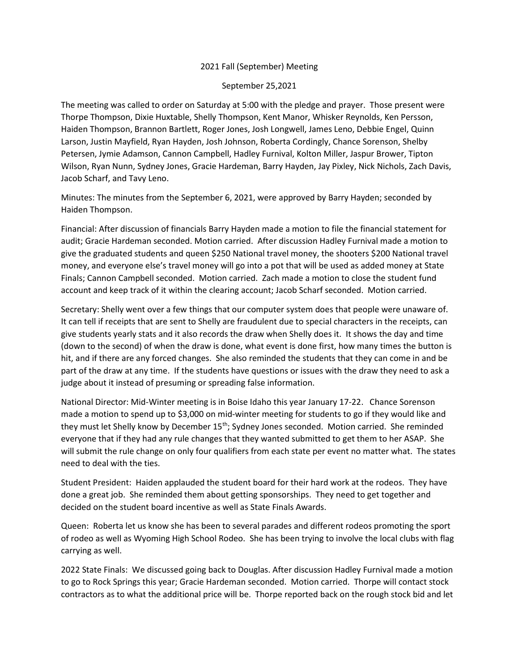## 2021 Fall (September) Meeting

## September 25,2021

The meeting was called to order on Saturday at 5:00 with the pledge and prayer. Those present were Thorpe Thompson, Dixie Huxtable, Shelly Thompson, Kent Manor, Whisker Reynolds, Ken Persson, Haiden Thompson, Brannon Bartlett, Roger Jones, Josh Longwell, James Leno, Debbie Engel, Quinn Larson, Justin Mayfield, Ryan Hayden, Josh Johnson, Roberta Cordingly, Chance Sorenson, Shelby Petersen, Jymie Adamson, Cannon Campbell, Hadley Furnival, Kolton Miller, Jaspur Brower, Tipton Wilson, Ryan Nunn, Sydney Jones, Gracie Hardeman, Barry Hayden, Jay Pixley, Nick Nichols, Zach Davis, Jacob Scharf, and Tavy Leno.

Minutes: The minutes from the September 6, 2021, were approved by Barry Hayden; seconded by Haiden Thompson.

Financial: After discussion of financials Barry Hayden made a motion to file the financial statement for audit; Gracie Hardeman seconded. Motion carried. After discussion Hadley Furnival made a motion to give the graduated students and queen \$250 National travel money, the shooters \$200 National travel money, and everyone else's travel money will go into a pot that will be used as added money at State Finals; Cannon Campbell seconded. Motion carried. Zach made a motion to close the student fund account and keep track of it within the clearing account; Jacob Scharf seconded. Motion carried.

Secretary: Shelly went over a few things that our computer system does that people were unaware of. It can tell if receipts that are sent to Shelly are fraudulent due to special characters in the receipts, can give students yearly stats and it also records the draw when Shelly does it. It shows the day and time (down to the second) of when the draw is done, what event is done first, how many times the button is hit, and if there are any forced changes. She also reminded the students that they can come in and be part of the draw at any time. If the students have questions or issues with the draw they need to ask a judge about it instead of presuming or spreading false information.

National Director: Mid-Winter meeting is in Boise Idaho this year January 17-22. Chance Sorenson made a motion to spend up to \$3,000 on mid-winter meeting for students to go if they would like and they must let Shelly know by December 15<sup>th</sup>; Sydney Jones seconded. Motion carried. She reminded everyone that if they had any rule changes that they wanted submitted to get them to her ASAP. She will submit the rule change on only four qualifiers from each state per event no matter what. The states need to deal with the ties.

Student President: Haiden applauded the student board for their hard work at the rodeos. They have done a great job. She reminded them about getting sponsorships. They need to get together and decided on the student board incentive as well as State Finals Awards.

Queen: Roberta let us know she has been to several parades and different rodeos promoting the sport of rodeo as well as Wyoming High School Rodeo. She has been trying to involve the local clubs with flag carrying as well.

2022 State Finals: We discussed going back to Douglas. After discussion Hadley Furnival made a motion to go to Rock Springs this year; Gracie Hardeman seconded. Motion carried. Thorpe will contact stock contractors as to what the additional price will be. Thorpe reported back on the rough stock bid and let